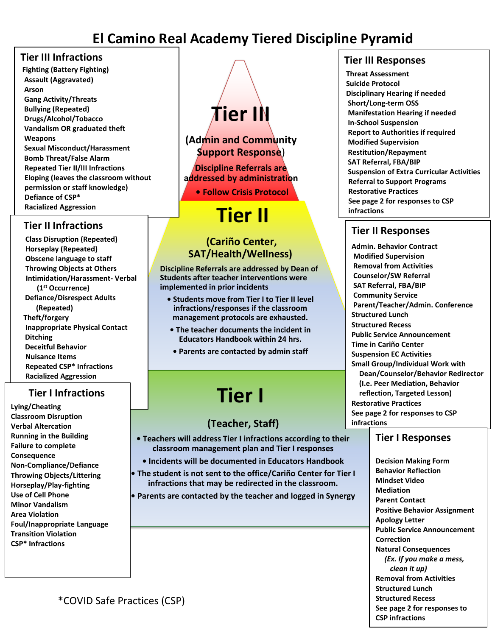### **El Camino Real Academy Tiered Discipline Pyramid**

#### **Tier III Infractions**

**Fighting (Battery Fighting) Assault (Aggravated) Arson Gang Activity/Threats Bullying (Repeated) Drugs/Alcohol/Tobacco Vandalism OR graduated theft Weapons Sexual Misconduct/Harassment Bomb Threat/False Alarm Repeated Tier II/III Infractions Eloping (leaves the classroom without permission or staff knowledge) Defiance of CSP\* Racialized Aggression**

#### **Tier II Infractions**

 **Class Disruption (Repeated) Horseplay (Repeated) Obscene language to staff Throwing Objects at Others Intimidation/Harassment- Verbal (1st Occurrence) Defiance/Disrespect Adults (Repeated) Theft/forgery Inappropriate Physical Contact Ditching Deceitful Behavior Nuisance Items Repeated CSP\* Infractions Racialized Aggression**

#### **Tier I Infractions**

**Lying/Cheating Classroom Disruption Verbal Altercation Running in the Building Failure to complete Consequence Non-Compliance/Defiance Throwing Objects/Littering Horseplay/Play-fighting Use of Cell Phone Minor Vandalism Area Violation Foul/Inappropriate Language Transition Violation CSP\* Infractions**

# **Tier III**

#### **(Admin and Community Support Response**)

**Discipline Referrals are addressed by administration**

**• Follow Crisis Protocol**

## **Tier II**

#### **(Cariño Center, SAT/Health/Wellness)**

**Discipline Referrals are addressed by Dean of Students after teacher interventions were implemented in prior incidents**

- **Students move from Tier I to Tier II level infractions/responses if the classroom management protocols are exhausted.**
- **The teacher documents the incident in Educators Handbook within 24 hrs.**
- **Parents are contacted by admin staff**

# **Tier I**

#### **(Teacher, Staff)**

- **Teachers will address Tier I infractions according to their classroom management plan and Tier I responses**
	- **Incidents will be documented in Educators Handbook**
- **The student is not sent to the office/Cariño Center for Tier I infractions that may be redirected in the classroom.**
- **Parents are contacted by the teacher and logged in Synergy**

#### **Tier III Responses**

**Threat Assessment Suicide Protocol Disciplinary Hearing if needed Short/Long-term OSS Manifestation Hearing if needed In-School Suspension Report to Authorities if required Modified Supervision Restitution/Repayment SAT Referral, FBA/BIP Suspension of Extra Curricular Activities Referral to Support Programs Restorative Practices See page 2 for responses to CSP infractions**

#### **Tier II Responses**

**Admin. Behavior Contract Modified Supervision Removal from Activities Counselor/SW Referral SAT Referral, FBA/BIP Community Service Parent/Teacher/Admin. Conference Structured Lunch Structured Recess Public Service Announcement Time in Cariño Center Suspension EC Activities Small Group/Individual Work with Dean/Counselor/Behavior Redirector (I.e. Peer Mediation, Behavior reflection, Targeted Lesson) Restorative Practices See page 2 for responses to CSP infractions**

#### **Tier I Responses**

**Decision Making Form Behavior Reflection Mindset Video Mediation Parent Contact Positive Behavior Assignment Apology Letter Public Service Announcement Correction Natural Consequences** *(Ex. If you make a mess, clean it up)* **Removal from Activities Structured Lunch Structured Recess See page 2 for responses to CSP infractions**